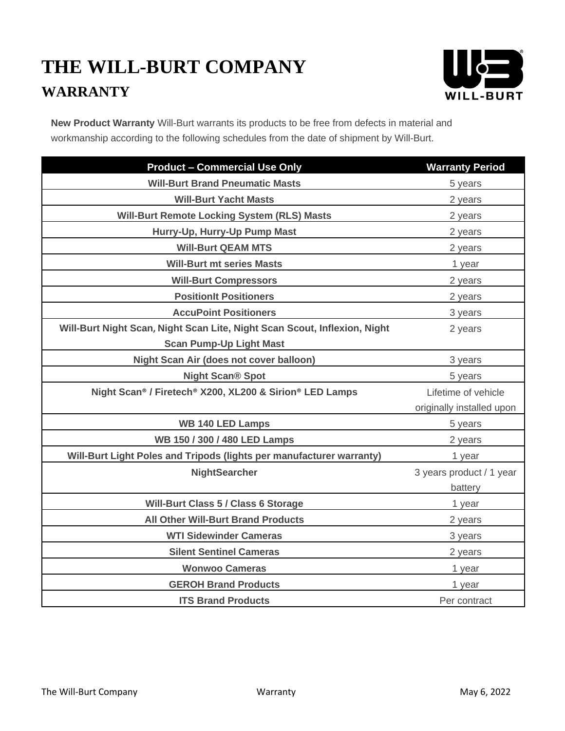## **THE WILL-BURT COMPANY WARRANTY**



**New Product Warranty** Will-Burt warrants its products to be free from defects in material and workmanship according to the following schedules from the date of shipment by Will-Burt.

| <b>Product - Commercial Use Only</b>                                      | <b>Warranty Period</b>    |
|---------------------------------------------------------------------------|---------------------------|
| <b>Will-Burt Brand Pneumatic Masts</b>                                    | 5 years                   |
| <b>Will-Burt Yacht Masts</b>                                              | 2 years                   |
| <b>Will-Burt Remote Locking System (RLS) Masts</b>                        | 2 years                   |
| Hurry-Up, Hurry-Up Pump Mast                                              | 2 years                   |
| <b>Will-Burt QEAM MTS</b>                                                 | 2 years                   |
| <b>Will-Burt mt series Masts</b>                                          | 1 year                    |
| <b>Will-Burt Compressors</b>                                              | 2 years                   |
| <b>PositionIt Positioners</b>                                             | 2 years                   |
| <b>AccuPoint Positioners</b>                                              | 3 years                   |
| Will-Burt Night Scan, Night Scan Lite, Night Scan Scout, Inflexion, Night | 2 years                   |
| <b>Scan Pump-Up Light Mast</b>                                            |                           |
| Night Scan Air (does not cover balloon)                                   | 3 years                   |
| <b>Night Scan® Spot</b>                                                   | 5 years                   |
| Night Scan® / Firetech® X200, XL200 & Sirion® LED Lamps                   | Lifetime of vehicle       |
|                                                                           | originally installed upon |
| <b>WB 140 LED Lamps</b>                                                   | 5 years                   |
| WB 150 / 300 / 480 LED Lamps                                              | 2 years                   |
| Will-Burt Light Poles and Tripods (lights per manufacturer warranty)      | 1 year                    |
| <b>NightSearcher</b>                                                      | 3 years product / 1 year  |
|                                                                           | battery                   |
| <b>Will-Burt Class 5 / Class 6 Storage</b>                                | 1 year                    |
| <b>All Other Will-Burt Brand Products</b>                                 | 2 years                   |
| <b>WTI Sidewinder Cameras</b>                                             | 3 years                   |
| <b>Silent Sentinel Cameras</b>                                            | 2 years                   |
| <b>Wonwoo Cameras</b>                                                     | 1 year                    |
| <b>GEROH Brand Products</b>                                               | 1 year                    |
| <b>ITS Brand Products</b>                                                 | Per contract              |